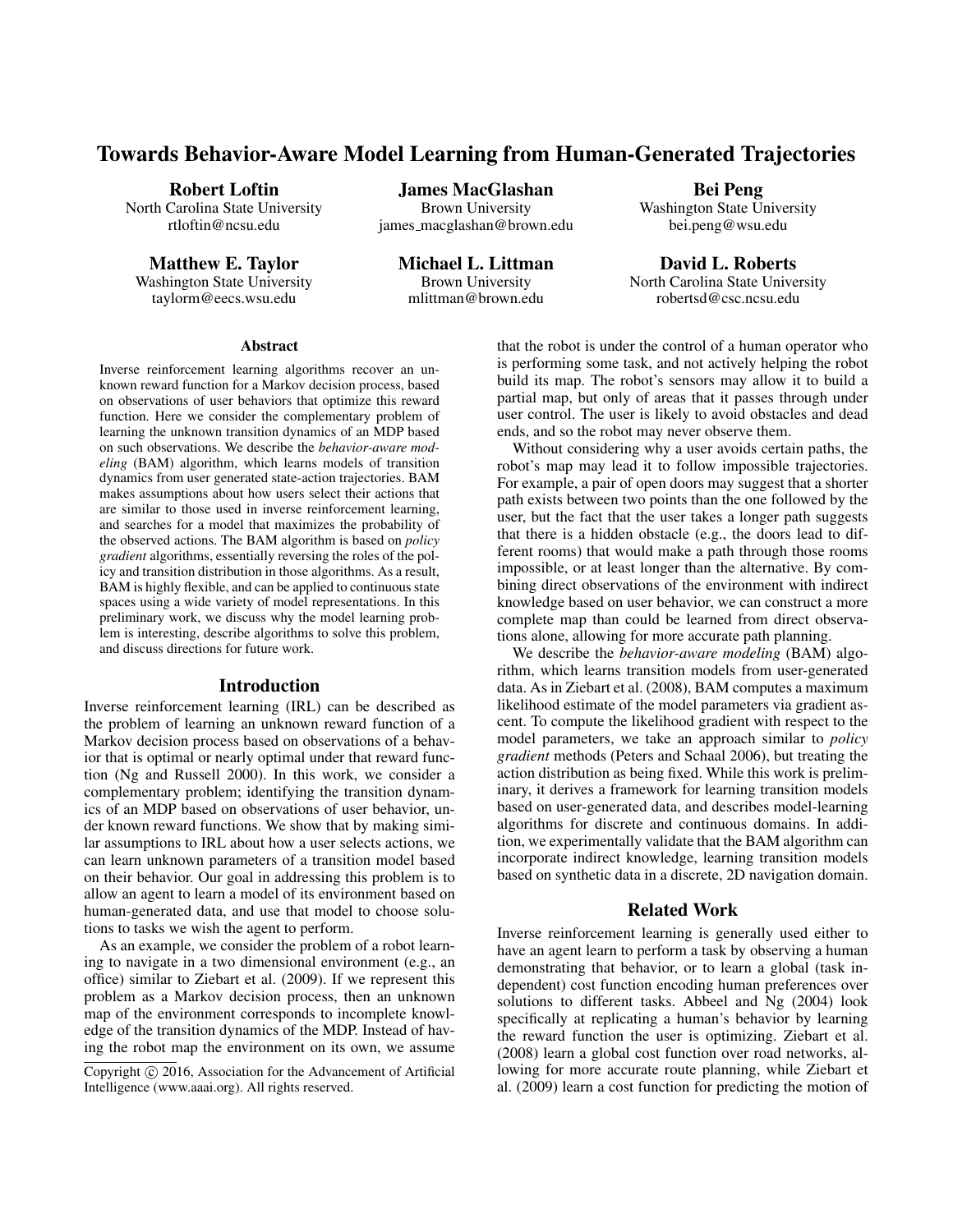# Towards Behavior-Aware Model Learning from Human-Generated Trajectories

James MacGlashan Brown University james macglashan@brown.edu

Robert Loftin

North Carolina State University rtloftin@ncsu.edu

Matthew E. Taylor Washington State University taylorm@eecs.wsu.edu

Michael L. Littman Brown University mlittman@brown.edu

Bei Peng Washington State University bei.peng@wsu.edu

David L. Roberts North Carolina State University robertsd@csc.ncsu.edu

#### Abstract

Inverse reinforcement learning algorithms recover an unknown reward function for a Markov decision process, based on observations of user behaviors that optimize this reward function. Here we consider the complementary problem of learning the unknown transition dynamics of an MDP based on such observations. We describe the *behavior-aware modeling* (BAM) algorithm, which learns models of transition dynamics from user generated state-action trajectories. BAM makes assumptions about how users select their actions that are similar to those used in inverse reinforcement learning, and searches for a model that maximizes the probability of the observed actions. The BAM algorithm is based on *policy gradient* algorithms, essentially reversing the roles of the policy and transition distribution in those algorithms. As a result, BAM is highly flexible, and can be applied to continuous state spaces using a wide variety of model representations. In this preliminary work, we discuss why the model learning problem is interesting, describe algorithms to solve this problem, and discuss directions for future work.

#### Introduction

Inverse reinforcement learning (IRL) can be described as the problem of learning an unknown reward function of a Markov decision process based on observations of a behavior that is optimal or nearly optimal under that reward function (Ng and Russell 2000). In this work, we consider a complementary problem; identifying the transition dynamics of an MDP based on observations of user behavior, under known reward functions. We show that by making similar assumptions to IRL about how a user selects actions, we can learn unknown parameters of a transition model based on their behavior. Our goal in addressing this problem is to allow an agent to learn a model of its environment based on human-generated data, and use that model to choose solutions to tasks we wish the agent to perform.

As an example, we consider the problem of a robot learning to navigate in a two dimensional environment (e.g., an office) similar to Ziebart et al. (2009). If we represent this problem as a Markov decision process, then an unknown map of the environment corresponds to incomplete knowledge of the transition dynamics of the MDP. Instead of having the robot map the environment on its own, we assume that the robot is under the control of a human operator who is performing some task, and not actively helping the robot build its map. The robot's sensors may allow it to build a partial map, but only of areas that it passes through under user control. The user is likely to avoid obstacles and dead ends, and so the robot may never observe them.

Without considering why a user avoids certain paths, the robot's map may lead it to follow impossible trajectories. For example, a pair of open doors may suggest that a shorter path exists between two points than the one followed by the user, but the fact that the user takes a longer path suggests that there is a hidden obstacle (e.g., the doors lead to different rooms) that would make a path through those rooms impossible, or at least longer than the alternative. By combining direct observations of the environment with indirect knowledge based on user behavior, we can construct a more complete map than could be learned from direct observations alone, allowing for more accurate path planning.

We describe the *behavior-aware modeling* (BAM) algorithm, which learns transition models from user-generated data. As in Ziebart et al. (2008), BAM computes a maximum likelihood estimate of the model parameters via gradient ascent. To compute the likelihood gradient with respect to the model parameters, we take an approach similar to *policy gradient* methods (Peters and Schaal 2006), but treating the action distribution as being fixed. While this work is preliminary, it derives a framework for learning transition models based on user-generated data, and describes model-learning algorithms for discrete and continuous domains. In addition, we experimentally validate that the BAM algorithm can incorporate indirect knowledge, learning transition models based on synthetic data in a discrete, 2D navigation domain.

### Related Work

Inverse reinforcement learning is generally used either to have an agent learn to perform a task by observing a human demonstrating that behavior, or to learn a global (task independent) cost function encoding human preferences over solutions to different tasks. Abbeel and Ng (2004) look specifically at replicating a human's behavior by learning the reward function the user is optimizing. Ziebart et al. (2008) learn a global cost function over road networks, allowing for more accurate route planning, while Ziebart et al. (2009) learn a cost function for predicting the motion of

Copyright  $\odot$  2016, Association for the Advancement of Artificial Intelligence (www.aaai.org). All rights reserved.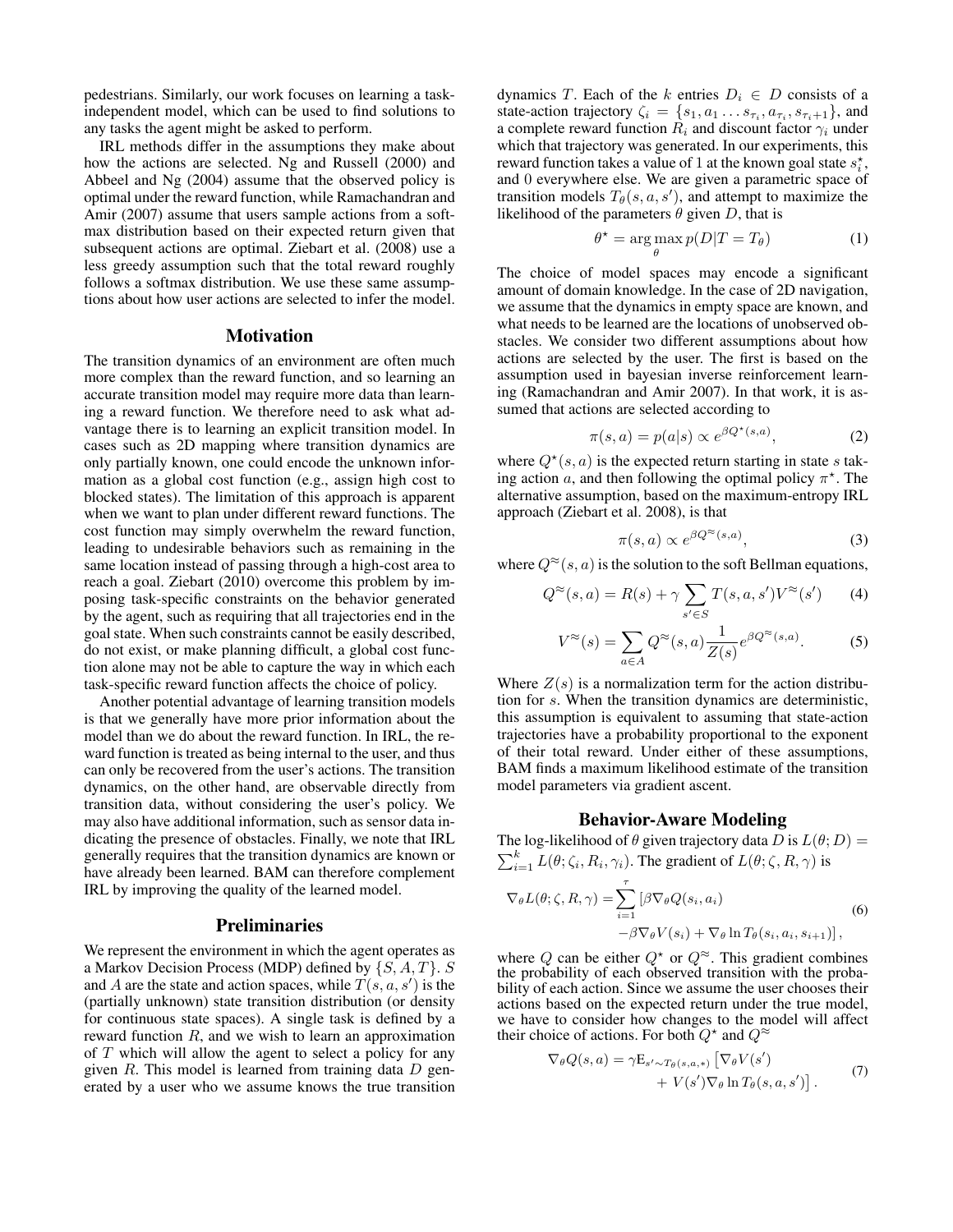pedestrians. Similarly, our work focuses on learning a taskindependent model, which can be used to find solutions to any tasks the agent might be asked to perform.

IRL methods differ in the assumptions they make about how the actions are selected. Ng and Russell (2000) and Abbeel and Ng (2004) assume that the observed policy is optimal under the reward function, while Ramachandran and Amir (2007) assume that users sample actions from a softmax distribution based on their expected return given that subsequent actions are optimal. Ziebart et al. (2008) use a less greedy assumption such that the total reward roughly follows a softmax distribution. We use these same assumptions about how user actions are selected to infer the model.

#### **Motivation**

The transition dynamics of an environment are often much more complex than the reward function, and so learning an accurate transition model may require more data than learning a reward function. We therefore need to ask what advantage there is to learning an explicit transition model. In cases such as 2D mapping where transition dynamics are only partially known, one could encode the unknown information as a global cost function (e.g., assign high cost to blocked states). The limitation of this approach is apparent when we want to plan under different reward functions. The cost function may simply overwhelm the reward function, leading to undesirable behaviors such as remaining in the same location instead of passing through a high-cost area to reach a goal. Ziebart (2010) overcome this problem by imposing task-specific constraints on the behavior generated by the agent, such as requiring that all trajectories end in the goal state. When such constraints cannot be easily described, do not exist, or make planning difficult, a global cost function alone may not be able to capture the way in which each task-specific reward function affects the choice of policy.

Another potential advantage of learning transition models is that we generally have more prior information about the model than we do about the reward function. In IRL, the reward function is treated as being internal to the user, and thus can only be recovered from the user's actions. The transition dynamics, on the other hand, are observable directly from transition data, without considering the user's policy. We may also have additional information, such as sensor data indicating the presence of obstacles. Finally, we note that IRL generally requires that the transition dynamics are known or have already been learned. BAM can therefore complement IRL by improving the quality of the learned model.

#### **Preliminaries**

We represent the environment in which the agent operates as a Markov Decision Process (MDP) defined by  $\{S, A, T\}$ . S and A are the state and action spaces, while  $T(s, a, s')$  is the (partially unknown) state transition distribution (or density for continuous state spaces). A single task is defined by a reward function  $R$ , and we wish to learn an approximation of  $T$  which will allow the agent to select a policy for any given  $R$ . This model is learned from training data  $D$  generated by a user who we assume knows the true transition

dynamics T. Each of the k entries  $D_i \in D$  consists of a state-action trajectory  $\zeta_i = \{s_1, a_1 \dots s_{\tau_i}, a_{\tau_i}, s_{\tau_i+1}\}\$ , and a complete reward function  $R_i$  and discount factor  $\gamma_i$  under which that trajectory was generated. In our experiments, this reward function takes a value of 1 at the known goal state  $s_i^*$ , and 0 everywhere else. We are given a parametric space of transition models  $T_{\theta}(s, a, s')$ , and attempt to maximize the likelihood of the parameters  $\theta$  given D, that is

$$
\theta^* = \arg\max_{\theta} p(D|T = T_{\theta})
$$
 (1)

The choice of model spaces may encode a significant amount of domain knowledge. In the case of 2D navigation, we assume that the dynamics in empty space are known, and what needs to be learned are the locations of unobserved obstacles. We consider two different assumptions about how actions are selected by the user. The first is based on the assumption used in bayesian inverse reinforcement learning (Ramachandran and Amir 2007). In that work, it is assumed that actions are selected according to

$$
\pi(s, a) = p(a|s) \propto e^{\beta Q^\star(s, a)},\tag{2}
$$

where  $Q^*(s, a)$  is the expected return starting in state s taking action a, and then following the optimal policy  $\pi^*$ . The alternative assumption, based on the maximum-entropy IRL approach (Ziebart et al. 2008), is that

$$
\pi(s, a) \propto e^{\beta Q^{\approx}(s, a)},\tag{3}
$$

where  $Q^{\approx}(s, a)$  is the solution to the soft Bellman equations,

$$
Q^{\approx}(s,a) = R(s) + \gamma \sum_{s' \in S} T(s,a,s') V^{\approx}(s')
$$
 (4)

$$
V^{\approx}(s) = \sum_{a \in A} Q^{\approx}(s, a) \frac{1}{Z(s)} e^{\beta Q^{\approx}(s, a)}.
$$
 (5)

Where  $Z(s)$  is a normalization term for the action distribution for s. When the transition dynamics are deterministic, this assumption is equivalent to assuming that state-action trajectories have a probability proportional to the exponent of their total reward. Under either of these assumptions, BAM finds a maximum likelihood estimate of the transition model parameters via gradient ascent.

#### Behavior-Aware Modeling

The log-likelihood of  $\theta$  given trajectory data D is  $L(\theta; D)$  =  $\sum_{i=1}^{k} L(\theta; \zeta_i, R_i, \gamma_i)$ . The gradient of  $L(\theta; \zeta, R, \gamma)$  is

$$
\nabla_{\theta} L(\theta; \zeta, R, \gamma) = \sum_{i=1}^{\tau} \left[ \beta \nabla_{\theta} Q(s_i, a_i) -\beta \nabla_{\theta} V(s_i) + \nabla_{\theta} \ln T_{\theta}(s_i, a_i, s_{i+1}) \right],
$$
\n(6)

where Q can be either  $Q^*$  or  $Q^{\approx}$ . This gradient combines the probability of each observed transition with the probability of each action. Since we assume the user chooses their actions based on the expected return under the true model, we have to consider how changes to the model will affect their choice of actions. For both  $Q^*$  and  $Q^{\approx}$ 

$$
\nabla_{\theta} Q(s, a) = \gamma \mathbf{E}_{s' \sim T_{\theta}(s, a, *)} \left[ \nabla_{\theta} V(s') \n+ V(s') \nabla_{\theta} \ln T_{\theta}(s, a, s') \right]. \tag{7}
$$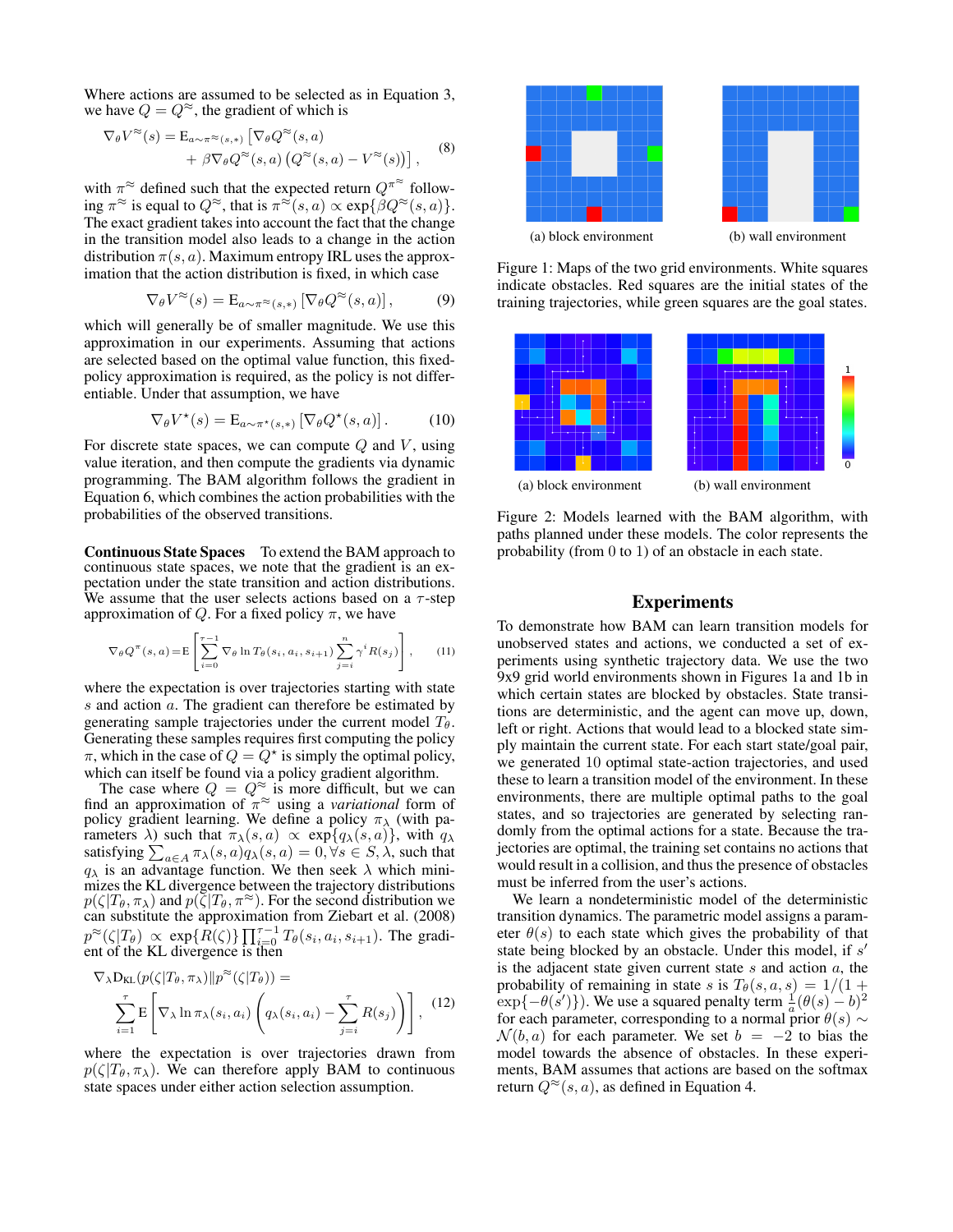Where actions are assumed to be selected as in Equation 3, we have  $Q = Q^{\approx}$ , the gradient of which is

$$
\nabla_{\theta} V^{\approx}(s) = \mathbb{E}_{a \sim \pi^{\approx}(s,*)} \left[ \nabla_{\theta} Q^{\approx}(s, a) + \beta \nabla_{\theta} Q^{\approx}(s, a) \left( Q^{\approx}(s, a) - V^{\approx}(s) \right) \right], \quad (8)
$$

with  $\pi^{\approx}$  defined such that the expected return  $Q^{\pi^{\approx}}$  following  $\pi^{\approx}$  is equal to  $Q^{\approx}$ , that is  $\pi^{\approx}(s, a) \propto \exp\{\beta Q^{\approx}(s, a)\}.$ The exact gradient takes into account the fact that the change in the transition model also leads to a change in the action distribution  $\pi(s, a)$ . Maximum entropy IRL uses the approximation that the action distribution is fixed, in which case

$$
\nabla_{\theta} V^{\approx}(s) = \mathcal{E}_{a \sim \pi^{\approx}(s,*)} \left[ \nabla_{\theta} Q^{\approx}(s, a) \right],\tag{9}
$$

which will generally be of smaller magnitude. We use this approximation in our experiments. Assuming that actions are selected based on the optimal value function, this fixedpolicy approximation is required, as the policy is not differentiable. Under that assumption, we have

$$
\nabla_{\theta} V^{\star}(s) = \mathcal{E}_{a \sim \pi^{\star}(s,*)} \left[ \nabla_{\theta} Q^{\star}(s, a) \right]. \tag{10}
$$

For discrete state spaces, we can compute  $Q$  and  $V$ , using value iteration, and then compute the gradients via dynamic programming. The BAM algorithm follows the gradient in Equation 6, which combines the action probabilities with the probabilities of the observed transitions.

Continuous State Spaces To extend the BAM approach to continuous state spaces, we note that the gradient is an expectation under the state transition and action distributions. We assume that the user selects actions based on a  $\tau$ -step approximation of Q. For a fixed policy  $\pi$ , we have

$$
\nabla_{\theta} Q^{\pi}(s, a) = \mathbb{E}\left[\sum_{i=0}^{\tau-1} \nabla_{\theta} \ln T_{\theta}(s_i, a_i, s_{i+1}) \sum_{j=i}^{n} \gamma^{i} R(s_j)\right], \qquad (11)
$$

where the expectation is over trajectories starting with state s and action a. The gradient can therefore be estimated by generating sample trajectories under the current model  $T_{\theta}$ . Generating these samples requires first computing the policy  $\pi$ , which in the case of  $Q = Q^*$  is simply the optimal policy, which can itself be found via a policy gradient algorithm.

The case where  $Q = Q^{\approx}$  is more difficult, but we can find an approximation of  $\pi^{\approx}$  using a *variational* form of policy gradient learning. We define a policy  $\pi_{\lambda}$  (with parameters  $\lambda$ ) such that  $\pi_{\lambda}(s, a) \propto \exp\{q_{\lambda}(s, a)\}\,$ , with  $q_{\lambda}$ satisfying  $\sum_{a \in A} \pi_{\lambda}(s, a) q_{\lambda}(s, a) = 0, \forall s \in S, \lambda$ , such that  $q_{\lambda}$  is an advantage function. We then seek  $\lambda$  which minimizes the KL divergence between the trajectory distributions  $p(\zeta|T_{\theta}, \pi_{\lambda})$  and  $p(\zeta|T_{\theta}, \pi^{\approx})$ . For the second distribution we can substitute the approximation from Ziebart et al. (2008)  $p^{\approx}(\zeta|T_{\theta}) \propto \exp\{R(\zeta)\}\prod_{i=0}^{\tau-1}T_{\theta}(s_i, a_i, s_{i+1}).$  The gradient of the KL divergence is then

$$
\nabla_{\lambda} \mathbf{D}_{\text{KL}}(p(\zeta|T_{\theta}, \pi_{\lambda})||p^{\approx}(\zeta|T_{\theta})) = \sum_{i=1}^{\tau} \mathbf{E}\left[\nabla_{\lambda} \ln \pi_{\lambda}(s_i, a_i) \left(q_{\lambda}(s_i, a_i) - \sum_{j=i}^{\tau} R(s_j)\right)\right],
$$
 (12)

where the expectation is over trajectories drawn from  $p(\zeta | T_{\theta}, \pi_{\lambda})$ . We can therefore apply BAM to continuous state spaces under either action selection assumption.



Figure 1: Maps of the two grid environments. White squares indicate obstacles. Red squares are the initial states of the training trajectories, while green squares are the goal states.



Figure 2: Models learned with the BAM algorithm, with paths planned under these models. The color represents the probability (from 0 to 1) of an obstacle in each state.

#### Experiments

To demonstrate how BAM can learn transition models for unobserved states and actions, we conducted a set of experiments using synthetic trajectory data. We use the two 9x9 grid world environments shown in Figures 1a and 1b in which certain states are blocked by obstacles. State transitions are deterministic, and the agent can move up, down, left or right. Actions that would lead to a blocked state simply maintain the current state. For each start state/goal pair, we generated 10 optimal state-action trajectories, and used these to learn a transition model of the environment. In these environments, there are multiple optimal paths to the goal states, and so trajectories are generated by selecting randomly from the optimal actions for a state. Because the trajectories are optimal, the training set contains no actions that would result in a collision, and thus the presence of obstacles must be inferred from the user's actions.

We learn a nondeterministic model of the deterministic transition dynamics. The parametric model assigns a parameter  $\theta(s)$  to each state which gives the probability of that state being blocked by an obstacle. Under this model, if s' is the adjacent state given current state  $s$  and action  $a$ , the probability of remaining in state s is  $T_{\theta}(s, a, s) = 1/(1 +$  $\exp{\{-\theta(s')\}}$ . We use a squared penalty term  $\frac{1}{a}(\theta(s)-b)^2$ for each parameter, corresponding to a normal prior  $\theta(s) \sim$  $\mathcal{N}(b, a)$  for each parameter. We set  $b = -2$  to bias the model towards the absence of obstacles. In these experiments, BAM assumes that actions are based on the softmax return  $Q^{\approx}(s, a)$ , as defined in Equation 4.